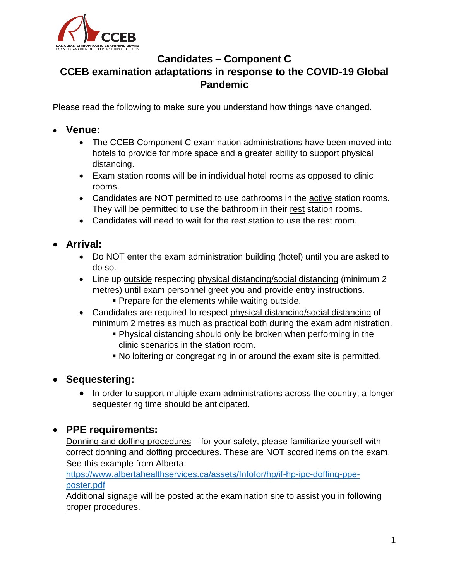

## **Candidates – Component C CCEB examination adaptations in response to the COVID-19 Global Pandemic**

Please read the following to make sure you understand how things have changed.

## • **Venue:**

- The CCEB Component C examination administrations have been moved into hotels to provide for more space and a greater ability to support physical distancing.
- Exam station rooms will be in individual hotel rooms as opposed to clinic rooms.
- Candidates are NOT permitted to use bathrooms in the active station rooms. They will be permitted to use the bathroom in their rest station rooms.
- Candidates will need to wait for the rest station to use the rest room.
- **Arrival:**
	- Do NOT enter the exam administration building (hotel) until you are asked to do so.
	- Line up outside respecting physical distancing/social distancing (minimum 2 metres) until exam personnel greet you and provide entry instructions.
		- **Prepare for the elements while waiting outside.**
	- Candidates are required to respect physical distancing/social distancing of minimum 2 metres as much as practical both during the exam administration.
		- Physical distancing should only be broken when performing in the clinic scenarios in the station room.
		- No loitering or congregating in or around the exam site is permitted.

## • **Sequestering:**

• In order to support multiple exam administrations across the country, a longer sequestering time should be anticipated.

## • **PPE requirements:**

Donning and doffing procedures - for your safety, please familiarize yourself with correct donning and doffing procedures. These are NOT scored items on the exam. See this example from Alberta:

[https://www.albertahealthservices.ca/assets/Infofor/hp/if-hp-ipc-doffing-ppe](https://www.albertahealthservices.ca/assets/Infofor/hp/if-hp-ipc-doffing-ppe-poster.pdf)[poster.pdf](https://www.albertahealthservices.ca/assets/Infofor/hp/if-hp-ipc-doffing-ppe-poster.pdf)

Additional signage will be posted at the examination site to assist you in following proper procedures.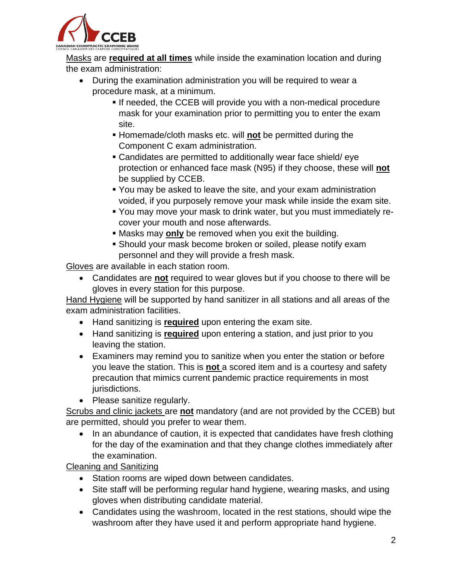

Masks are **required at all times** while inside the examination location and during the exam administration:

- During the examination administration you will be required to wear a procedure mask, at a minimum.
	- **.** If needed, the CCEB will provide you with a non-medical procedure mask for your examination prior to permitting you to enter the exam site.
	- Homemade/cloth masks etc. will **not** be permitted during the Component C exam administration.
	- Candidates are permitted to additionally wear face shield/ eye protection or enhanced face mask (N95) if they choose, these will **not**  be supplied by CCEB.
	- You may be asked to leave the site, and your exam administration voided, if you purposely remove your mask while inside the exam site.
	- You may move your mask to drink water, but you must immediately recover your mouth and nose afterwards.
	- Masks may **only** be removed when you exit the building.
	- **E** Should your mask become broken or soiled, please notify exam personnel and they will provide a fresh mask.

Gloves are available in each station room.

• Candidates are **not** required to wear gloves but if you choose to there will be gloves in every station for this purpose.

Hand Hygiene will be supported by hand sanitizer in all stations and all areas of the exam administration facilities.

- Hand sanitizing is **required** upon entering the exam site.
- Hand sanitizing is **required** upon entering a station, and just prior to you leaving the station.
- Examiners may remind you to sanitize when you enter the station or before you leave the station. This is **not** a scored item and is a courtesy and safety precaution that mimics current pandemic practice requirements in most jurisdictions.
- Please sanitize regularly.

Scrubs and clinic jackets are **not** mandatory (and are not provided by the CCEB) but are permitted, should you prefer to wear them.

• In an abundance of caution, it is expected that candidates have fresh clothing for the day of the examination and that they change clothes immediately after the examination.

Cleaning and Sanitizing

- Station rooms are wiped down between candidates.
- Site staff will be performing regular hand hygiene, wearing masks, and using gloves when distributing candidate material.
- Candidates using the washroom, located in the rest stations, should wipe the washroom after they have used it and perform appropriate hand hygiene.